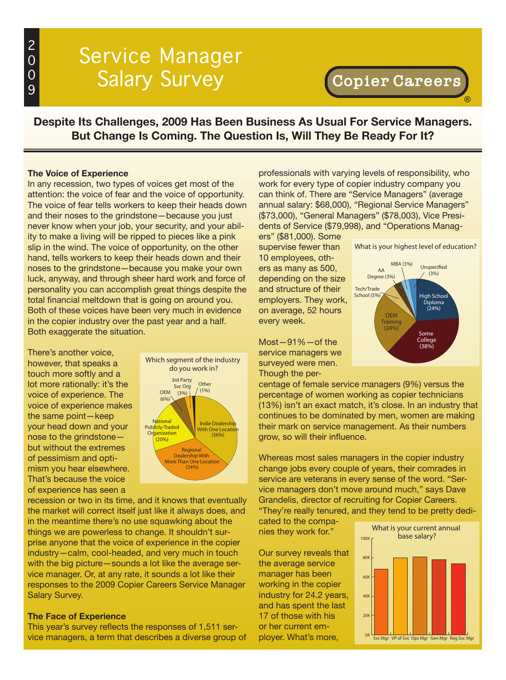# Service Manager Salary Survey

®

**Despite Its Challenges, 2009 Has Been Business As Usual For Service Managers. But Change Is Coming. The Question Is, Will They Be Ready For It?**

#### **The Voice of Experience**

In any recession, two types of voices get most of the attention: the voice of fear and the voice of opportunity. The voice of fear tells workers to keep their heads down and their noses to the grindstone—because you just never know when your job, your security, and your ability to make a living will be ripped to pieces like a pink slip in the wind. The voice of opportunity, on the other hand, tells workers to keep their heads down and their noses to the grindstone—because you make your own luck, anyway, and through sheer hard work and force of personality you can accomplish great things despite the total financial meltdown that is going on around you. Both of these voices have been very much in evidence in the copier industry over the past year and a half. Both exaggerate the situation.

There's another voice, however, that speaks a touch more softly and a lot more rationally: it's the voice of experience. The voice of experience makes the same point—keep your head down and your nose to the grindstone but without the extremes of pessimism and optimism you hear elsewhere. That's because the voice of experience has seen a



recession or two in its time, and it knows that eventually the market will correct itself just like it always does, and in the meantime there's no use squawking about the things we are powerless to change. It shouldn't surprise anyone that the voice of experience in the copier industry—calm, cool-headed, and very much in touch with the big picture—sounds a lot like the average service manager. Or, at any rate, it sounds a lot like their responses to the 2009 Copier Careers Service Manager Salary Survey.

#### **The Face of Experience**

This year's survey reflects the responses of 1,511 service managers, a term that describes a diverse group of professionals with varying levels of responsibility, who work for every type of copier industry company you can think of. There are "Service Managers" (average annual salary: \$68,000), "Regional Service Managers" (\$73,000), "General Managers" (\$78,003), Vice Presidents of Service (\$79,998), and "Operations Manag-

> Tech/Trade School (5%)

AA Degree (3%)

ers" (\$81,000). Some supervise fewer than 10 employees, others as many as 500, depending on the size and structure of their employers. They work, on average, 52 hours every week.

Most—91%—of the service managers we surveyed were men. Though the per-

centage of female service managers (9%) versus the Some **College** (38%) OEM **Training** (24%)

High School Diploma (24%)

 $MBA (3%)$  Unspecified  $(3%)$ 

What is your highest level of education?

percentage of women working as copier technicians (13%) isn't an exact match, it's close. In an industry that continues to be dominated by men, women are making their mark on service management. As their numbers grow, so will their influence.

Whereas most sales managers in the copier industry change jobs every couple of years, their comrades in service are veterans in every sense of the word. "Service managers don't move around much," says Dave Grandelis, director of recruiting for Copier Careers. "They're really tenured, and they tend to be pretty dedi-

cated to the companies they work for."

Our survey reveals that the average service manager has been working in the copier industry for 24.2 years, and has spent the last 17 of those with his or her current employer. What's more,